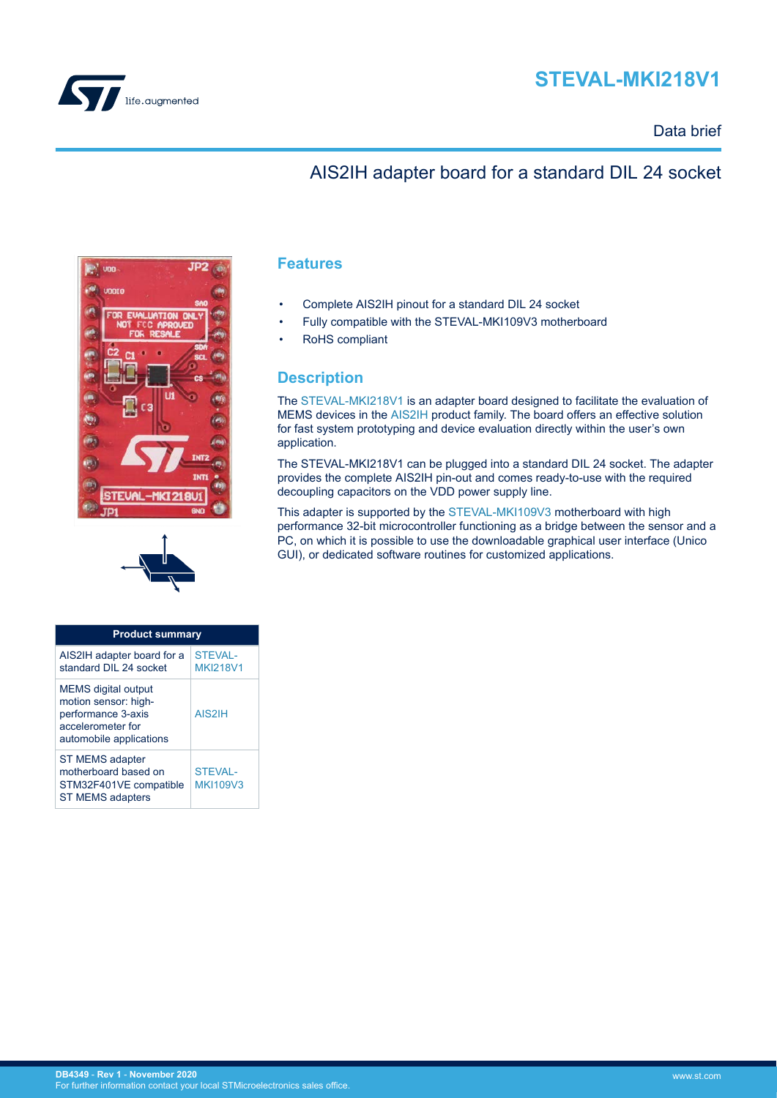

# **STEVAL-MKI218V1**

## Data brief

# AIS2IH adapter board for a standard DIL 24 socket





| <b>Product summary</b>                                                                                                   |                                   |  |
|--------------------------------------------------------------------------------------------------------------------------|-----------------------------------|--|
| AIS2IH adapter board for a<br>standard DII 24 socket                                                                     | <b>STEVAL-</b><br><b>MKI218V1</b> |  |
| <b>MEMS</b> digital output<br>motion sensor: high-<br>performance 3-axis<br>accelerometer for<br>automobile applications | AIS2IH                            |  |
| ST MEMS adapter<br>motherboard based on<br>STM32F401VE compatible<br><b>ST MEMS adapters</b>                             | <b>STEVAL-</b><br><b>MKI109V3</b> |  |

### **Features**

- Complete AIS2IH pinout for a standard DIL 24 socket
- Fully compatible with the STEVAL-MKI109V3 motherboard
- RoHS compliant

## **Description**

The [STEVAL-MKI218V1](https://www.st.com/en/product/steval-mki218v1?ecmp=tt9470_gl_link_feb2019&rt=db&id=DB4349) is an adapter board designed to facilitate the evaluation of MEMS devices in the [AIS2IH p](https://www.st.com/en/product/ais2ih?ecmp=tt9470_gl_link_feb2019&rt=db&id=DB4349)roduct family. The board offers an effective solution for fast system prototyping and device evaluation directly within the user's own application.

The STEVAL-MKI218V1 can be plugged into a standard DIL 24 socket. The adapter provides the complete AIS2IH pin-out and comes ready-to-use with the required decoupling capacitors on the VDD power supply line.

This adapter is supported by the [STEVAL-MKI109V3](https://www.st.com/en/product/steval-mki109v3?ecmp=tt9470_gl_link_feb2019&rt=db&id=DB4349) motherboard with high performance 32-bit microcontroller functioning as a bridge between the sensor and a PC, on which it is possible to use the downloadable graphical user interface (Unico GUI), or dedicated software routines for customized applications.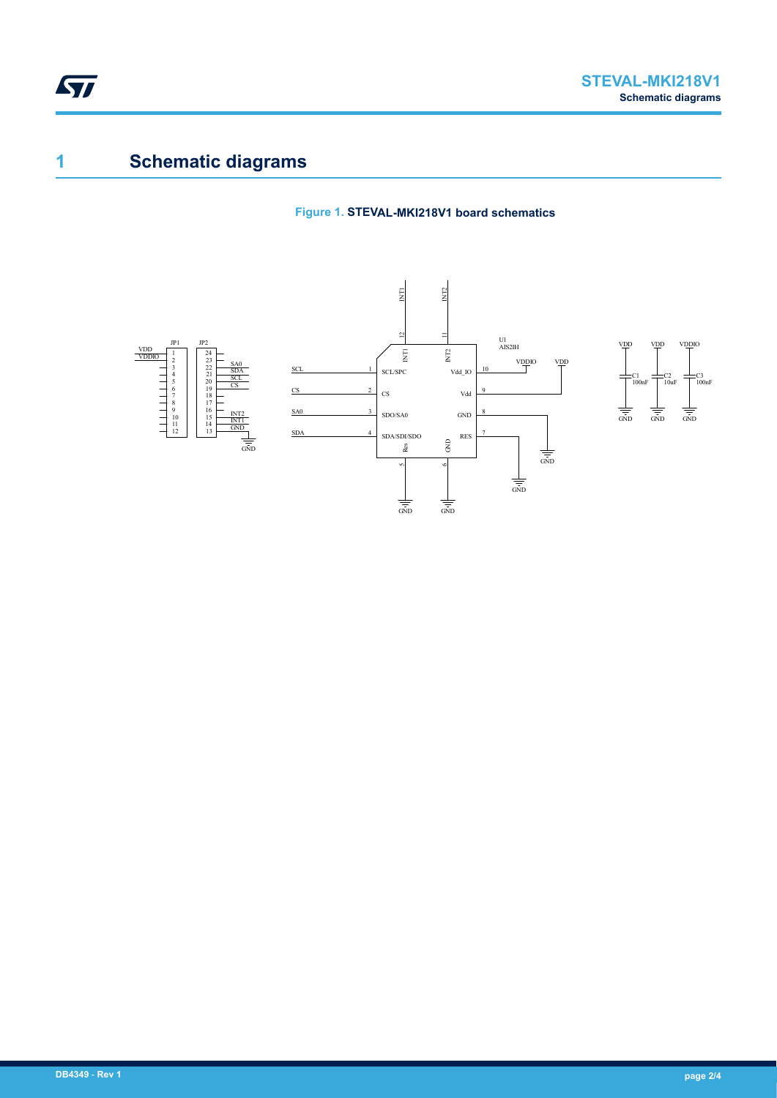

# **1 Schematic diagrams**

#### **Figure 1. STEVAL-MKI218V1 board schematics**

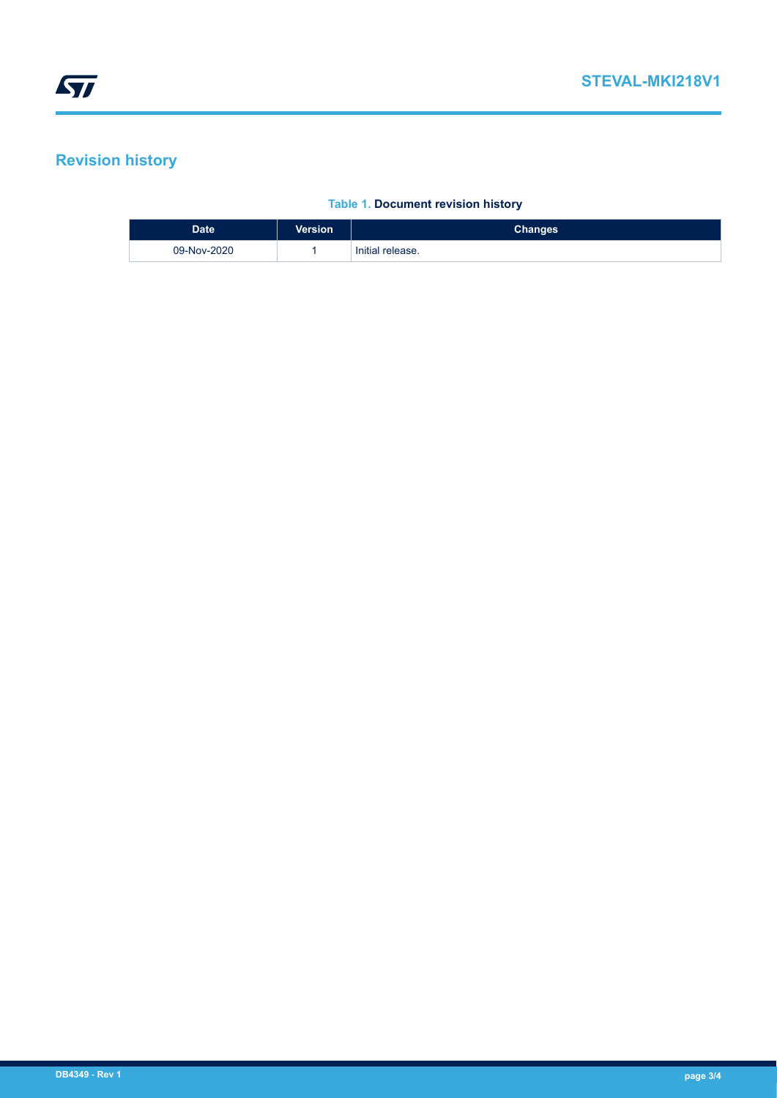# **Revision history**

#### **Table 1. Document revision history**

| Date <sup>1</sup> | <b>Version</b> | <b>Changes</b>   |
|-------------------|----------------|------------------|
| 09-Nov-2020       |                | Initial release. |